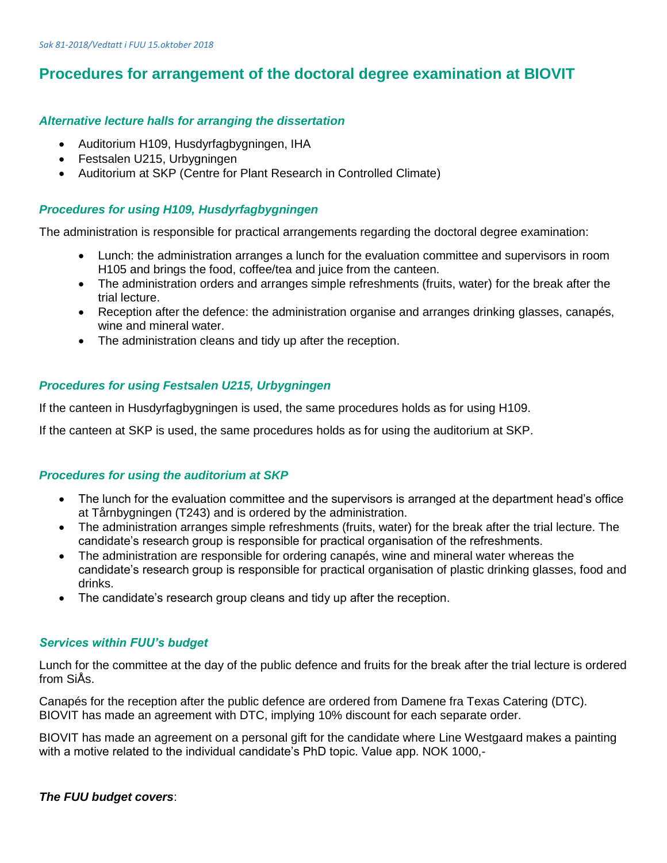# **Procedures for arrangement of the doctoral degree examination at BIOVIT**

## *Alternative lecture halls for arranging the dissertation*

- Auditorium H109, Husdyrfagbygningen, IHA
- Festsalen U215, Urbygningen
- Auditorium at SKP (Centre for Plant Research in Controlled Climate)

## *Procedures for using H109, Husdyrfagbygningen*

The administration is responsible for practical arrangements regarding the doctoral degree examination:

- Lunch: the administration arranges a lunch for the evaluation committee and supervisors in room H105 and brings the food, coffee/tea and juice from the canteen.
- The administration orders and arranges simple refreshments (fruits, water) for the break after the trial lecture.
- Reception after the defence: the administration organise and arranges drinking glasses, canapés, wine and mineral water.
- The administration cleans and tidy up after the reception.

# *Procedures for using Festsalen U215, Urbygningen*

If the canteen in Husdyrfagbygningen is used, the same procedures holds as for using H109.

If the canteen at SKP is used, the same procedures holds as for using the auditorium at SKP.

## *Procedures for using the auditorium at SKP*

- The lunch for the evaluation committee and the supervisors is arranged at the department head's office at Tårnbygningen (T243) and is ordered by the administration.
- The administration arranges simple refreshments (fruits, water) for the break after the trial lecture. The candidate's research group is responsible for practical organisation of the refreshments.
- The administration are responsible for ordering canapés, wine and mineral water whereas the candidate's research group is responsible for practical organisation of plastic drinking glasses, food and drinks.
- The candidate's research group cleans and tidy up after the reception.

## *Services within FUU's budget*

Lunch for the committee at the day of the public defence and fruits for the break after the trial lecture is ordered from SiÅs.

Canapés for the reception after the public defence are ordered from Damene fra Texas Catering (DTC). BIOVIT has made an agreement with DTC, implying 10% discount for each separate order.

BIOVIT has made an agreement on a personal gift for the candidate where Line Westgaard makes a painting with a motive related to the individual candidate's PhD topic. Value app. NOK 1000,-

## *The FUU budget covers*: